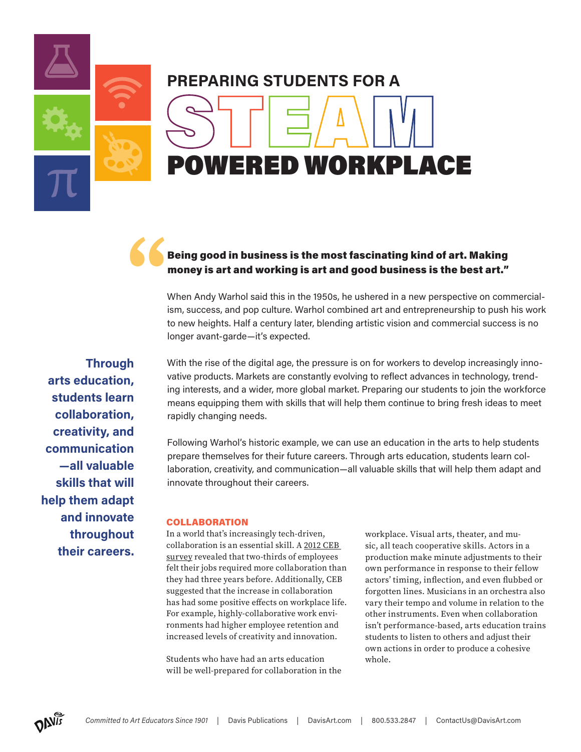**PREPARING STUDENTS FOR A** DWERED WORKPLACE STEAM

## **"** Being good in business is the most fascinating kind of art. Making money is art and working is art and good business is the best art."

When Andy Warhol said this in the 1950s, he ushered in a new perspective on commercialism, success, and pop culture. Warhol combined art and entrepreneurship to push his work to new heights. Half a century later, blending artistic vision and commercial success is no longer avant-garde—it's expected.

With the rise of the digital age, the pressure is on for workers to develop increasingly innovative products. Markets are constantly evolving to reflect advances in technology, trending interests, and a wider, more global market. Preparing our students to join the workforce means equipping them with skills that will help them continue to bring fresh ideas to meet rapidly changing needs.

Following Warhol's historic example, we can use an education in the arts to help students prepare themselves for their future careers. Through arts education, students learn collaboration, creativity, and communication—all valuable skills that will help them adapt and innovate throughout their careers.

## COLLABORATION

In a world that's increasingly tech-driven, collaboration is an essential skill. A [2012 CEB](https://fcw.com/workforce/2012/12/collaborations-role-in-the-new-work-environment/205552/)  [survey](https://fcw.com/workforce/2012/12/collaborations-role-in-the-new-work-environment/205552/) revealed that two-thirds of employees felt their jobs required more collaboration than they had three years before. Additionally, CEB suggested that the increase in collaboration has had some positive effects on workplace life. For example, highly-collaborative work environments had higher employee retention and increased levels of creativity and innovation.

Students who have had an arts education will be well-prepared for collaboration in the workplace. Visual arts, theater, and music, all teach cooperative skills. Actors in a production make minute adjustments to their own performance in response to their fellow actors' timing, inflection, and even flubbed or forgotten lines. Musicians in an orchestra also vary their tempo and volume in relation to the other instruments. Even when collaboration isn't performance-based, arts education trains students to listen to others and adjust their own actions in order to produce a cohesive whole.

**Through arts education, students learn collaboration, creativity, and communication —all valuable skills that will help them adapt and innovate throughout their careers.**